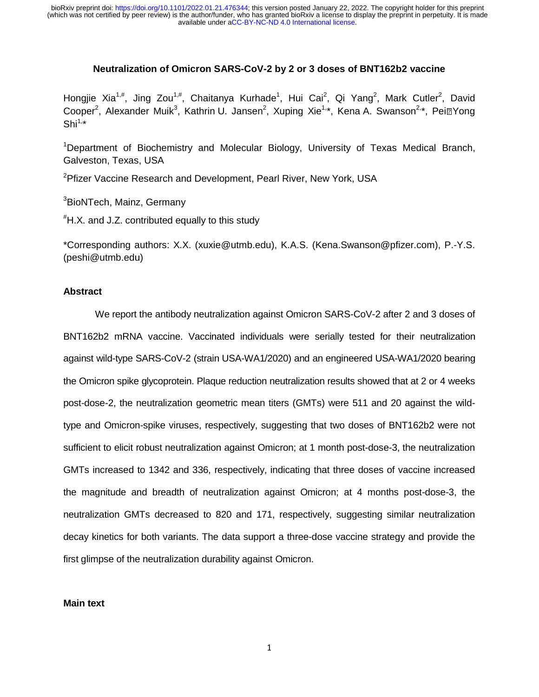## **Neutralization of Omicron SARS-CoV-2 by 2 or 3 doses of BNT162b2 vaccine**

Hongjie Xia<sup>1,#</sup>, Jing Zou<sup>1,#</sup>, Chaitanya Kurhade<sup>1</sup>, Hui Cai<sup>2</sup>, Qi Yang<sup>2</sup>, Mark Cutler<sup>2</sup>, David Cooper<sup>2</sup>, Alexander Muik<sup>3</sup>, Kathrin U. Jansen<sup>2</sup>, Xuping Xie<sup>1,</sup>\*, Kena A. Swanson<sup>2,</sup>\*, Pei⊠Yong<br>Shi<sup>1,</sup>\*  $Shi^{1,*}$ 

<sup>1</sup>Department of Biochemistry and Molecular Biology, University of Texas Medical Branch, Galveston, Texas, USA

<sup>2</sup>Pfizer Vaccine Research and Development, Pearl River, New York, USA

<sup>3</sup>BioNTech, Mainz, Germany

# H.X. and J.Z. contributed equally to this study

\*Corresponding authors: X.X. (xuxie@utmb.edu), K.A.S. (Kena.Swanson@pfizer.com), P.-Y.S. (peshi@utmb.edu)

# **Abstract**

 We report the antibody neutralization against Omicron SARS-CoV-2 after 2 and 3 doses of BNT162b2 mRNA vaccine. Vaccinated individuals were serially tested for their neutralization against wild-type SARS-CoV-2 (strain USA-WA1/2020) and an engineered USA-WA1/2020 bearing the Omicron spike glycoprotein. Plaque reduction neutralization results showed that at 2 or 4 weeks post-dose-2, the neutralization geometric mean titers (GMTs) were 511 and 20 against the wildtype and Omicron-spike viruses, respectively, suggesting that two doses of BNT162b2 were not sufficient to elicit robust neutralization against Omicron; at 1 month post-dose-3, the neutralization GMTs increased to 1342 and 336, respectively, indicating that three doses of vaccine increased the magnitude and breadth of neutralization against Omicron; at 4 months post-dose-3, the neutralization GMTs decreased to 820 and 171, respectively, suggesting similar neutralization decay kinetics for both variants. The data support a three-dose vaccine strategy and provide the first glimpse of the neutralization durability against Omicron.

#### **Main text**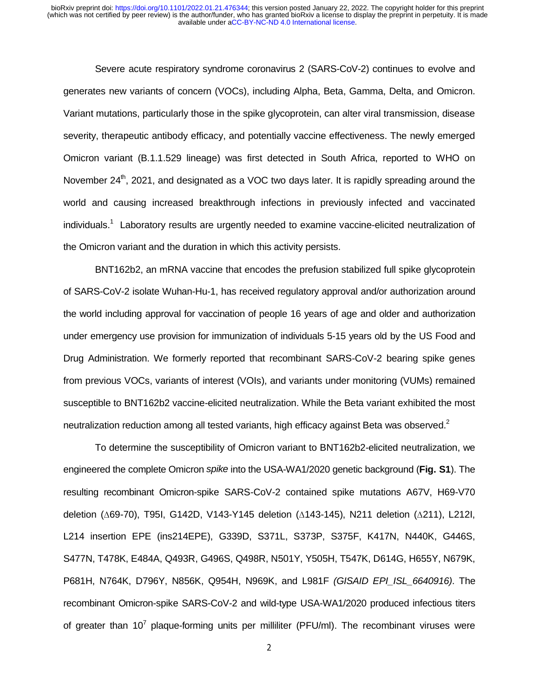Severe acute respiratory syndrome coronavirus 2 (SARS-CoV-2) continues to evolve and generates new variants of concern (VOCs), including Alpha, Beta, Gamma, Delta, and Omicron. Variant mutations, particularly those in the spike glycoprotein, can alter viral transmission, disease severity, therapeutic antibody efficacy, and potentially vaccine effectiveness. The newly emerged Omicron variant (B.1.1.529 lineage) was first detected in South Africa, reported to WHO on November  $24<sup>th</sup>$ , 2021, and designated as a VOC two days later. It is rapidly spreading around the world and causing increased breakthrough infections in previously infected and vaccinated individuals.<sup>1</sup> Laboratory results are urgently needed to examine vaccine-elicited neutralization of the Omicron variant and the duration in which this activity persists.

 BNT162b2, an mRNA vaccine that encodes the prefusion stabilized full spike glycoprotein of SARS-CoV-2 isolate Wuhan-Hu-1, has received regulatory approval and/or authorization around the world including approval for vaccination of people 16 years of age and older and authorization under emergency use provision for immunization of individuals 5-15 years old by the US Food and Drug Administration. We formerly reported that recombinant SARS-CoV-2 bearing spike genes from previous VOCs, variants of interest (VOIs), and variants under monitoring (VUMs) remained susceptible to BNT162b2 vaccine-elicited neutralization. While the Beta variant exhibited the most neutralization reduction among all tested variants, high efficacy against Beta was observed. $2$ 

 To determine the susceptibility of Omicron variant to BNT162b2-elicited neutralization, we engineered the complete Omicron *spike* into the USA-WA1/2020 genetic background (**Fig. S1**). The resulting recombinant Omicron-spike SARS-CoV-2 contained spike mutations A67V, H69-V70 deletion (∆69-70), T95I, G142D, V143-Y145 deletion (∆143-145), N211 deletion (∆211), L212I, L214 insertion EPE (ins214EPE), G339D, S371L, S373P, S375F, K417N, N440K, G446S, S477N, T478K, E484A, Q493R, G496S, Q498R, N501Y, Y505H, T547K, D614G, H655Y, N679K, P681H, N764K, D796Y, N856K, Q954H, N969K, and L981F *(GISAID EPI\_ISL\_6640916)*. The recombinant Omicron-spike SARS-CoV-2 and wild-type USA-WA1/2020 produced infectious titers of greater than 10<sup>7</sup> plaque-forming units per milliliter (PFU/ml). The recombinant viruses were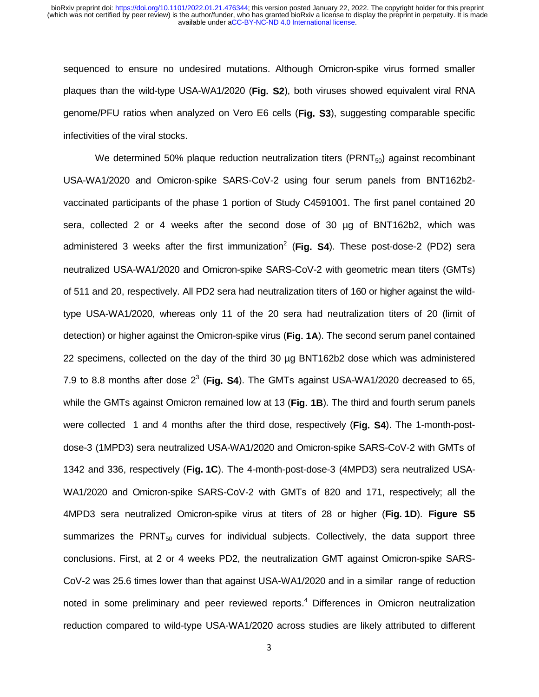sequenced to ensure no undesired mutations. Although Omicron-spike virus formed smaller plaques than the wild-type USA-WA1/2020 (**Fig. S2**), both viruses showed equivalent viral RNA genome/PFU ratios when analyzed on Vero E6 cells (**Fig. S3**), suggesting comparable specific infectivities of the viral stocks.

We determined 50% plaque reduction neutralization titers ( $\text{PRNT}_{50}$ ) against recombinant USA-WA1/2020 and Omicron-spike SARS-CoV-2 using four serum panels from BNT162b2 vaccinated participants of the phase 1 portion of Study C4591001. The first panel contained 20 sera, collected 2 or 4 weeks after the second dose of 30 µg of BNT162b2, which was administered 3 weeks after the first immunization<sup>2</sup> (Fig. S4). These post-dose-2 (PD2) sera neutralized USA-WA1/2020 and Omicron-spike SARS-CoV-2 with geometric mean titers (GMTs) of 511 and 20, respectively. All PD2 sera had neutralization titers of 160 or higher against the wildtype USA-WA1/2020, whereas only 11 of the 20 sera had neutralization titers of 20 (limit of detection) or higher against the Omicron-spike virus (**Fig. 1A**). The second serum panel contained 22 specimens, collected on the day of the third 30 µg BNT162b2 dose which was administered 7.9 to 8.8 months after dose  $2^3$  (Fig. S4). The GMTs against USA-WA1/2020 decreased to 65, while the GMTs against Omicron remained low at 13 (**Fig. 1B**). The third and fourth serum panels were collected 1 and 4 months after the third dose, respectively (**Fig. S4**). The 1-month-postdose-3 (1MPD3) sera neutralized USA-WA1/2020 and Omicron-spike SARS-CoV-2 with GMTs of 1342 and 336, respectively (**Fig. 1C**). The 4-month-post-dose-3 (4MPD3) sera neutralized USA-WA1/2020 and Omicron-spike SARS-CoV-2 with GMTs of 820 and 171, respectively; all the 4MPD3 sera neutralized Omicron-spike virus at titers of 28 or higher (**Fig. 1D**). **Figure S5** summarizes the PRNT $_{50}$  curves for individual subjects. Collectively, the data support three conclusions. First, at 2 or 4 weeks PD2, the neutralization GMT against Omicron-spike SARS-CoV-2 was 25.6 times lower than that against USA-WA1/2020 and in a similar range of reduction noted in some preliminary and peer reviewed reports.<sup>4</sup> Differences in Omicron neutralization reduction compared to wild-type USA-WA1/2020 across studies are likely attributed to different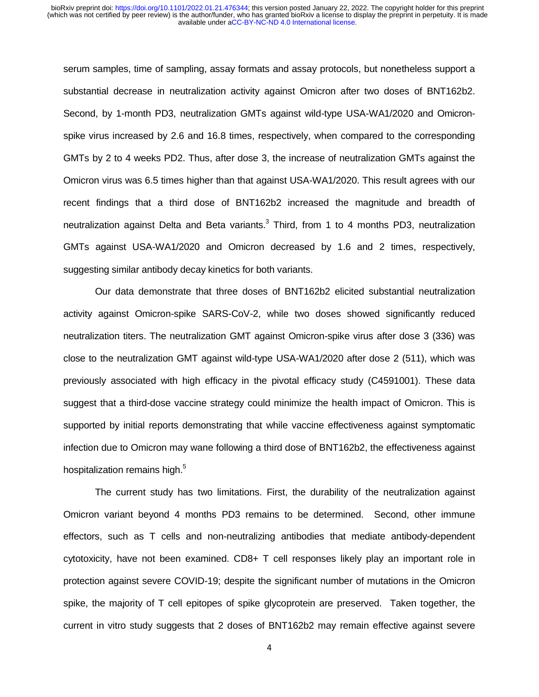serum samples, time of sampling, assay formats and assay protocols, but nonetheless support a substantial decrease in neutralization activity against Omicron after two doses of BNT162b2. Second, by 1-month PD3, neutralization GMTs against wild-type USA-WA1/2020 and Omicronspike virus increased by 2.6 and 16.8 times, respectively, when compared to the corresponding GMTs by 2 to 4 weeks PD2. Thus, after dose 3, the increase of neutralization GMTs against the Omicron virus was 6.5 times higher than that against USA-WA1/2020. This result agrees with our recent findings that a third dose of BNT162b2 increased the magnitude and breadth of neutralization against Delta and Beta variants. $3$  Third, from 1 to 4 months PD3, neutralization GMTs against USA-WA1/2020 and Omicron decreased by 1.6 and 2 times, respectively, suggesting similar antibody decay kinetics for both variants.

 Our data demonstrate that three doses of BNT162b2 elicited substantial neutralization activity against Omicron-spike SARS-CoV-2, while two doses showed significantly reduced neutralization titers. The neutralization GMT against Omicron-spike virus after dose 3 (336) was close to the neutralization GMT against wild-type USA-WA1/2020 after dose 2 (511), which was previously associated with high efficacy in the pivotal efficacy study (C4591001). These data suggest that a third-dose vaccine strategy could minimize the health impact of Omicron. This is supported by initial reports demonstrating that while vaccine effectiveness against symptomatic infection due to Omicron may wane following a third dose of BNT162b2, the effectiveness against hospitalization remains high.<sup>5</sup>

 The current study has two limitations. First, the durability of the neutralization against Omicron variant beyond 4 months PD3 remains to be determined. Second, other immune effectors, such as T cells and non-neutralizing antibodies that mediate antibody-dependent cytotoxicity, have not been examined. CD8+ T cell responses likely play an important role in protection against severe COVID-19; despite the significant number of mutations in the Omicron spike, the majority of T cell epitopes of spike glycoprotein are preserved. Taken together, the current in vitro study suggests that 2 doses of BNT162b2 may remain effective against severe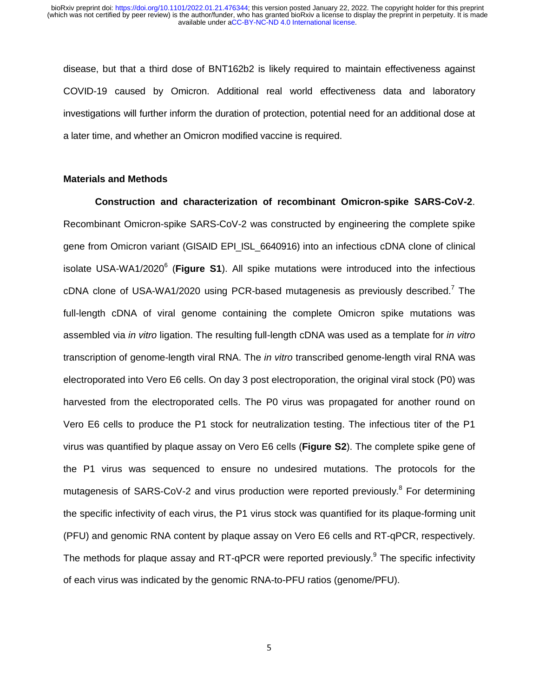disease, but that a third dose of BNT162b2 is likely required to maintain effectiveness against COVID-19 caused by Omicron. Additional real world effectiveness data and laboratory investigations will further inform the duration of protection, potential need for an additional dose at a later time, and whether an Omicron modified vaccine is required.

## **Materials and Methods**

**Construction and characterization of recombinant Omicron-spike SARS-CoV-2**. Recombinant Omicron-spike SARS-CoV-2 was constructed by engineering the complete spike gene from Omicron variant (GISAID EPI\_ISL\_6640916) into an infectious cDNA clone of clinical isolate USA-WA1/2020<sup>6</sup> (Figure S1). All spike mutations were introduced into the infectious cDNA clone of USA-WA1/2020 using PCR-based mutagenesis as previously described.<sup>7</sup> The full-length cDNA of viral genome containing the complete Omicron spike mutations was assembled via *in vitro* ligation. The resulting full-length cDNA was used as a template for *in vitro* transcription of genome-length viral RNA. The *in vitro* transcribed genome-length viral RNA was electroporated into Vero E6 cells. On day 3 post electroporation, the original viral stock (P0) was harvested from the electroporated cells. The P0 virus was propagated for another round on Vero E6 cells to produce the P1 stock for neutralization testing. The infectious titer of the P1 virus was quantified by plaque assay on Vero E6 cells (**Figure S2**). The complete spike gene of the P1 virus was sequenced to ensure no undesired mutations. The protocols for the mutagenesis of SARS-CoV-2 and virus production were reported previously.<sup>8</sup> For determining the specific infectivity of each virus, the P1 virus stock was quantified for its plaque-forming unit (PFU) and genomic RNA content by plaque assay on Vero E6 cells and RT-qPCR, respectively. The methods for plaque assay and RT-qPCR were reported previously. $9$  The specific infectivity of each virus was indicated by the genomic RNA-to-PFU ratios (genome/PFU).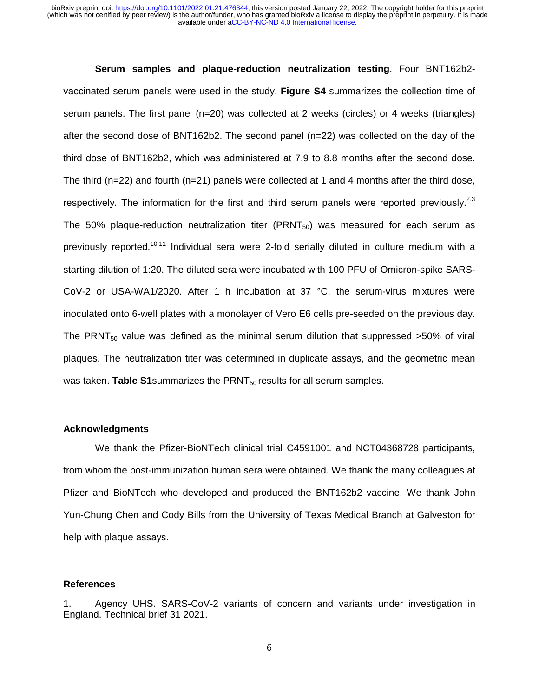## **Serum samples and plaque-reduction neutralization testing**. Four BNT162b2-

vaccinated serum panels were used in the study. **Figure S4** summarizes the collection time of serum panels. The first panel (n=20) was collected at 2 weeks (circles) or 4 weeks (triangles) after the second dose of BNT162b2. The second panel (n=22) was collected on the day of the third dose of BNT162b2, which was administered at 7.9 to 8.8 months after the second dose. The third ( $n=22$ ) and fourth ( $n=21$ ) panels were collected at 1 and 4 months after the third dose, respectively. The information for the first and third serum panels were reported previously.<sup>2,3</sup> The 50% plaque-reduction neutralization titer (PRNT $_{50}$ ) was measured for each serum as previously reported.<sup>10,11</sup> Individual sera were 2-fold serially diluted in culture medium with a starting dilution of 1:20. The diluted sera were incubated with 100 PFU of Omicron-spike SARS-CoV-2 or USA-WA1/2020. After 1 h incubation at 37 °C, the serum-virus mixtures were inoculated onto 6-well plates with a monolayer of Vero E6 cells pre-seeded on the previous day. The PRNT<sub>50</sub> value was defined as the minimal serum dilution that suppressed  $>50\%$  of viral plaques. The neutralization titer was determined in duplicate assays, and the geometric mean was taken. **Table S1** summarizes the PRNT<sub>50</sub> results for all serum samples.

## **Acknowledgments**

We thank the Pfizer-BioNTech clinical trial C4591001 and NCT04368728 participants, from whom the post-immunization human sera were obtained. We thank the many colleagues at Pfizer and BioNTech who developed and produced the BNT162b2 vaccine. We thank John Yun-Chung Chen and Cody Bills from the University of Texas Medical Branch at Galveston for help with plaque assays.

#### **References**

1. Agency UHS. SARS-CoV-2 variants of concern and variants under investigation in England. Technical brief 31 2021.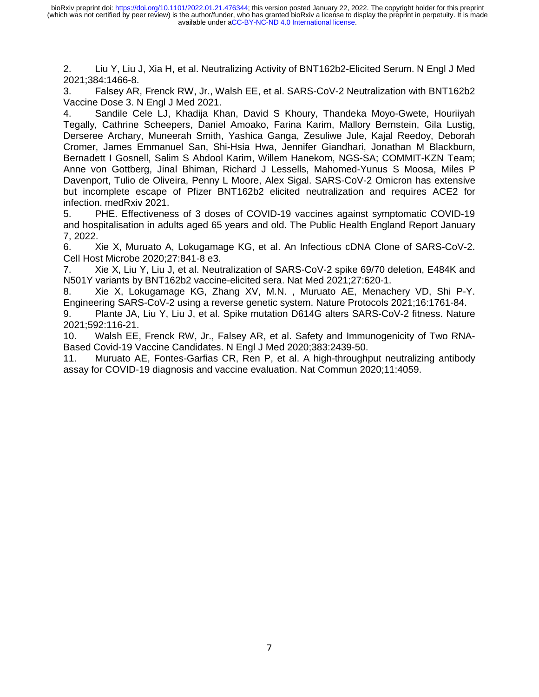2. Liu Y, Liu J, Xia H, et al. Neutralizing Activity of BNT162b2-Elicited Serum. N Engl J Med 2021;384:1466-8.

3. Falsey AR, Frenck RW, Jr., Walsh EE, et al. SARS-CoV-2 Neutralization with BNT162b2 Vaccine Dose 3. N Engl J Med 2021.

4. Sandile Cele LJ, Khadija Khan, David S Khoury, Thandeka Moyo-Gwete, Houriiyah Tegally, Cathrine Scheepers, Daniel Amoako, Farina Karim, Mallory Bernstein, Gila Lustig, Derseree Archary, Muneerah Smith, Yashica Ganga, Zesuliwe Jule, Kajal Reedoy, Deborah Cromer, James Emmanuel San, Shi-Hsia Hwa, Jennifer Giandhari, Jonathan M Blackburn, Bernadett I Gosnell, Salim S Abdool Karim, Willem Hanekom, NGS-SA; COMMIT-KZN Team; Anne von Gottberg, Jinal Bhiman, Richard J Lessells, Mahomed-Yunus S Moosa, Miles P Davenport, Tulio de Oliveira, Penny L Moore, Alex Sigal. SARS-CoV-2 Omicron has extensive but incomplete escape of Pfizer BNT162b2 elicited neutralization and requires ACE2 for infection. medRxiv 2021.

5. PHE. Effectiveness of 3 doses of COVID-19 vaccines against symptomatic COVID-19 and hospitalisation in adults aged 65 years and old. The Public Health England Report January 7, 2022.

6. Xie X, Muruato A, Lokugamage KG, et al. An Infectious cDNA Clone of SARS-CoV-2. Cell Host Microbe 2020;27:841-8 e3.

7. Xie X, Liu Y, Liu J, et al. Neutralization of SARS-CoV-2 spike 69/70 deletion, E484K and N501Y variants by BNT162b2 vaccine-elicited sera. Nat Med 2021;27:620-1.

8. Xie X, Lokugamage KG, Zhang XV, M.N. , Muruato AE, Menachery VD, Shi P-Y. Engineering SARS-CoV-2 using a reverse genetic system. Nature Protocols 2021;16:1761-84.

9. Plante JA, Liu Y, Liu J, et al. Spike mutation D614G alters SARS-CoV-2 fitness. Nature 2021;592:116-21.

10. Walsh EE, Frenck RW, Jr., Falsey AR, et al. Safety and Immunogenicity of Two RNA-Based Covid-19 Vaccine Candidates. N Engl J Med 2020;383:2439-50.

11. Muruato AE, Fontes-Garfias CR, Ren P, et al. A high-throughput neutralizing antibody assay for COVID-19 diagnosis and vaccine evaluation. Nat Commun 2020;11:4059.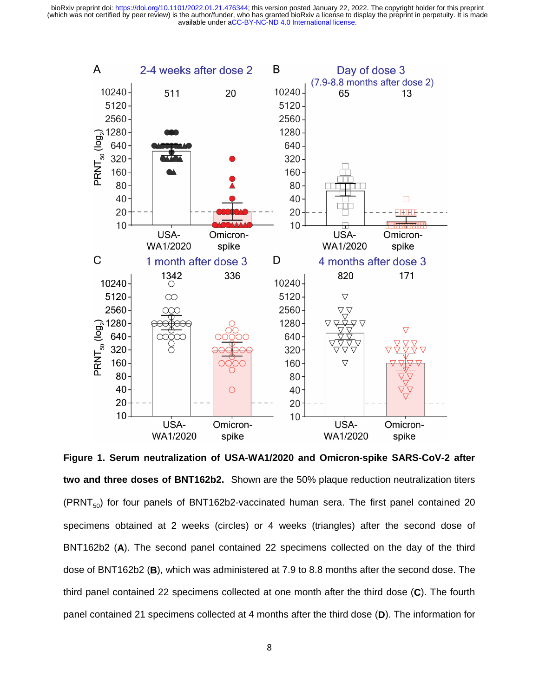

**Figure 1. Serum neutralization of USA-WA1/2020 and Omicron-spike SARS-CoV-2 after two and three doses of BNT162b2.** Shown are the 50% plaque reduction neutralization titers (PRNT $_{50}$ ) for four panels of BNT162b2-vaccinated human sera. The first panel contained 20 specimens obtained at 2 weeks (circles) or 4 weeks (triangles) after the second dose of BNT162b2 (**A**). The second panel contained 22 specimens collected on the day of the third dose of BNT162b2 (**B**), which was administered at 7.9 to 8.8 months after the second dose. The third panel contained 22 specimens collected at one month after the third dose (**C**). The fourth panel contained 21 specimens collected at 4 months after the third dose (**D**). The information for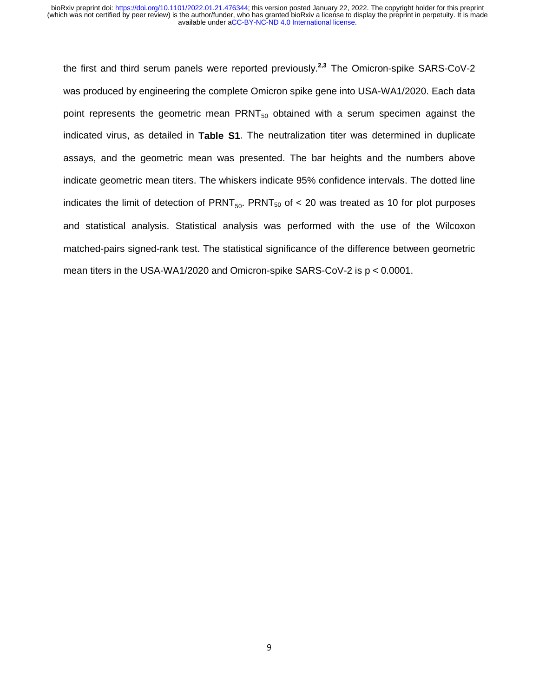the first and third serum panels were reported previously.**2,3** The Omicron-spike SARS-CoV-2 was produced by engineering the complete Omicron spike gene into USA-WA1/2020. Each data point represents the geometric mean  $PRNT<sub>50</sub>$  obtained with a serum specimen against the indicated virus, as detailed in **Table S1**. The neutralization titer was determined in duplicate assays, and the geometric mean was presented. The bar heights and the numbers above indicate geometric mean titers. The whiskers indicate 95% confidence intervals. The dotted line indicates the limit of detection of  $PRNT<sub>50</sub>$ . PRNT<sub>50</sub> of < 20 was treated as 10 for plot purposes and statistical analysis. Statistical analysis was performed with the use of the Wilcoxon matched-pairs signed-rank test. The statistical significance of the difference between geometric mean titers in the USA-WA1/2020 and Omicron-spike SARS-CoV-2 is p < 0.0001.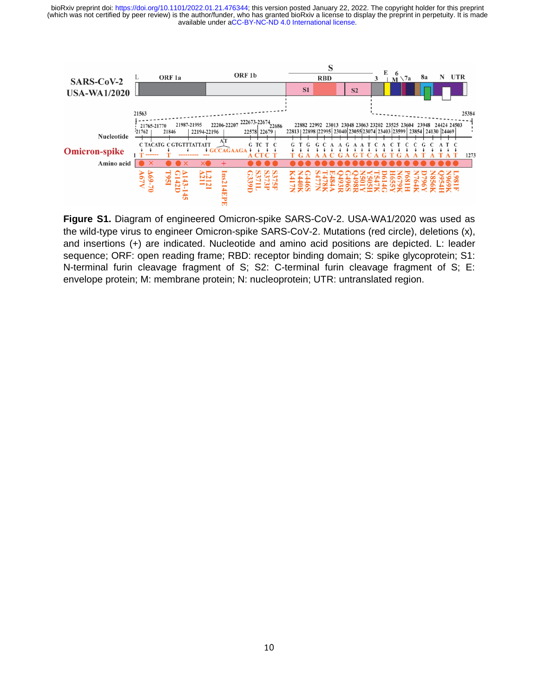

**Figure S1.** Diagram of engineered Omicron-spike SARS-CoV-2. USA-WA1/2020 was used as the wild-type virus to engineer Omicron-spike SARS-CoV-2. Mutations (red circle), deletions (x), and insertions (+) are indicated. Nucleotide and amino acid positions are depicted. L: leader sequence; ORF: open reading frame; RBD: receptor binding domain; S: spike glycoprotein; S1: N-terminal furin cleavage fragment of S; S2: C-terminal furin cleavage fragment of S; E: envelope protein; M: membrane protein; N: nucleoprotein; UTR: untranslated region.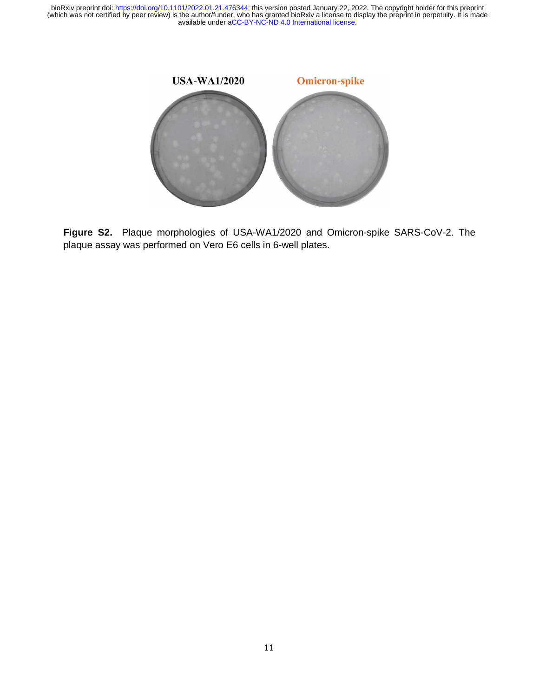

**Figure S2.** Plaque morphologies of USA-WA1/2020 and Omicron-spike SARS-CoV-2. The plaque assay was performed on Vero E6 cells in 6-well plates.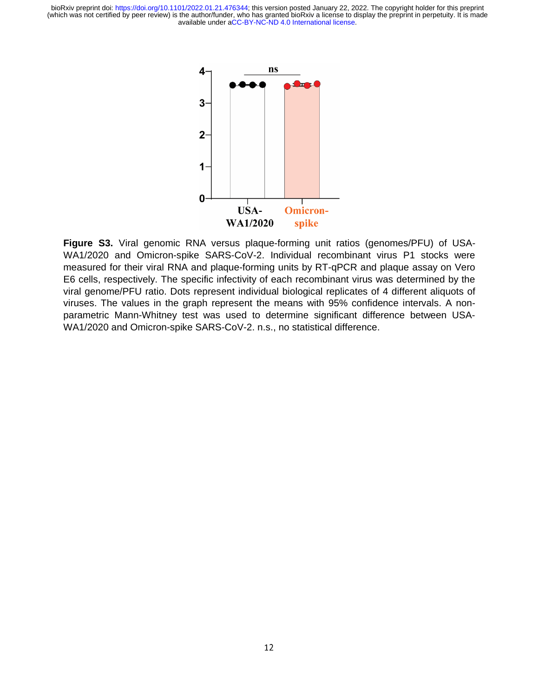

**Figure S3.** Viral genomic RNA versus plaque-forming unit ratios (genomes/PFU) of USA-WA1/2020 and Omicron-spike SARS-CoV-2. Individual recombinant virus P1 stocks were measured for their viral RNA and plaque-forming units by RT-qPCR and plaque assay on Vero E6 cells, respectively. The specific infectivity of each recombinant virus was determined by the viral genome/PFU ratio. Dots represent individual biological replicates of 4 different aliquots of viruses. The values in the graph represent the means with 95% confidence intervals. A nonparametric Mann-Whitney test was used to determine significant difference between USA-WA1/2020 and Omicron-spike SARS-CoV-2. n.s., no statistical difference.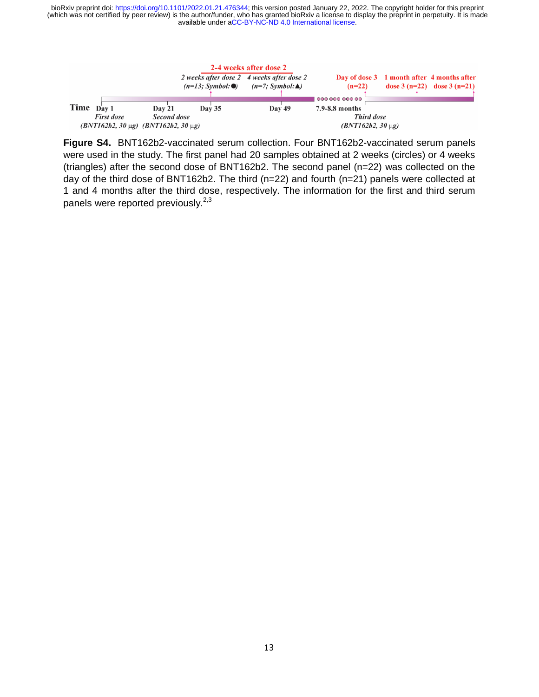

**Figure S4.** BNT162b2-vaccinated serum collection. Four BNT162b2-vaccinated serum panels were used in the study. The first panel had 20 samples obtained at 2 weeks (circles) or 4 weeks (triangles) after the second dose of BNT162b2. The second panel (n=22) was collected on the day of the third dose of BNT162b2. The third (n=22) and fourth (n=21) panels were collected at 1 and 4 months after the third dose, respectively. The information for the first and third serum panels were reported previously.<sup>2,3</sup>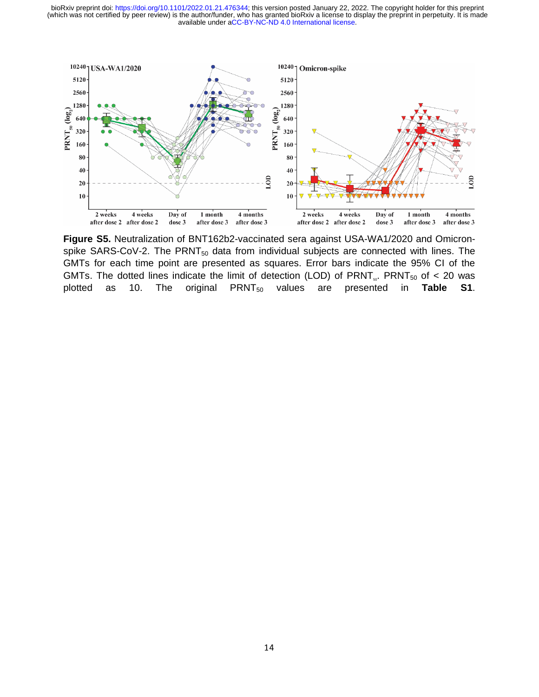

**Figure S5.** Neutralization of BNT162b2-vaccinated sera against USA-WA1/2020 and Omicronspike SARS-CoV-2. The  $PRNT_{50}$  data from individual subjects are connected with lines. The GMTs for each time point are presented as squares. Error bars indicate the 95% CI of the GMTs. The dotted lines indicate the limit of detection (LOD) of PRNT<sub>5</sub>. PRNT<sub>50</sub> of < 20 was plotted as 10. The original PRNT<sub>50</sub> values are presented in Table S1.